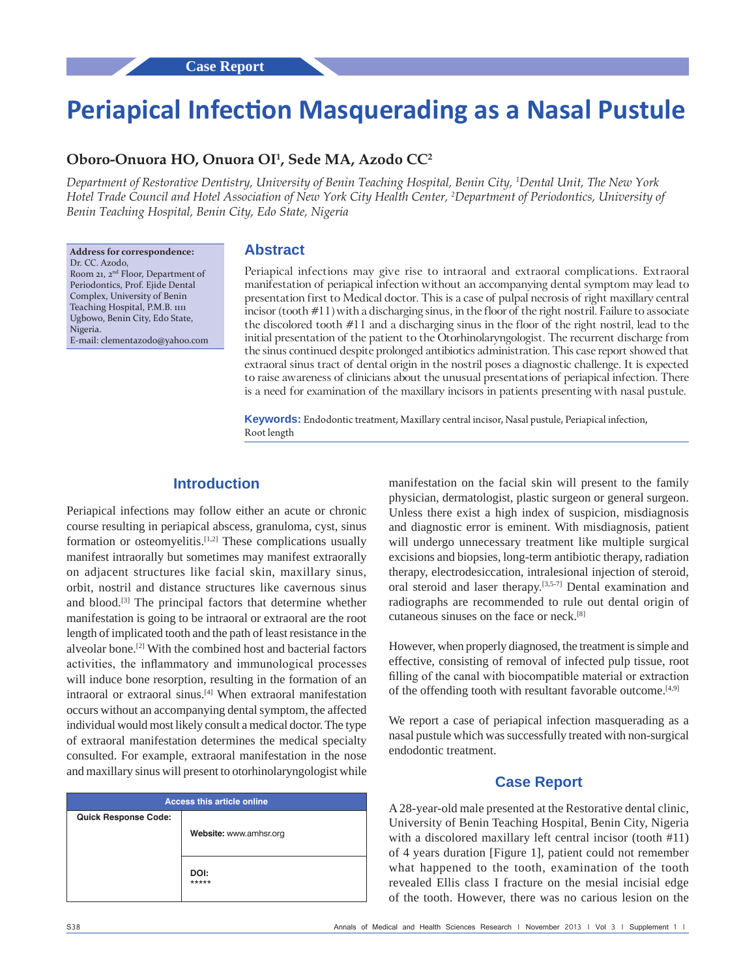# **Periapical Infection Masquerading as a Nasal Pustule**

## **Oboro‑Onuora HO, Onuora OI1 , Sede MA, Azodo CC2**

*Department of Restorative Dentistry, University of Benin Teaching Hospital, Benin City, 1 Dental Unit, The New York Hotel Trade Council and Hotel Association of New York City Health Center, 2 Department of Periodontics, University of Benin Teaching Hospital, Benin City, Edo State, Nigeria*

**Address for correspondence:** Dr. CC. Azodo, Room 21, 2nd Floor, Department of Periodontics, Prof. Ejide Dental Complex, University of Benin Teaching Hospital, P.M.B. 1111 Ugbowo, Benin City, Edo State, Nigeria. E‑mail: clementazodo@yahoo.com

#### **Abstract**

Periapical infections may give rise to intraoral and extraoral complications. Extraoral manifestation of periapical infection without an accompanying dental symptom may lead to presentation first to Medical doctor. This is a case of pulpal necrosis of right maxillary central incisor (tooth #11) with a discharging sinus, in the floor of the right nostril. Failure to associate the discolored tooth #11 and a discharging sinus in the floor of the right nostril, lead to the initial presentation of the patient to the Otorhinolaryngologist. The recurrent discharge from the sinus continued despite prolonged antibiotics administration. This case report showed that extraoral sinus tract of dental origin in the nostril poses a diagnostic challenge. It is expected to raise awareness of clinicians about the unusual presentations of periapical infection. There is a need for examination of the maxillary incisors in patients presenting with nasal pustule.

**Keywords:** Endodontic treatment, Maxillary central incisor, Nasal pustule, Periapical infection, Root length

## **Introduction**

Periapical infections may follow either an acute or chronic course resulting in periapical abscess, granuloma, cyst, sinus formation or osteomyelitis.[1,2] These complications usually manifest intraorally but sometimes may manifest extraorally on adjacent structures like facial skin, maxillary sinus, orbit, nostril and distance structures like cavernous sinus and blood.<sup>[3]</sup> The principal factors that determine whether manifestation is going to be intraoral or extraoral are the root length of implicated tooth and the path of least resistance in the alveolar bone.[2] With the combined host and bacterial factors activities, the inflammatory and immunological processes will induce bone resorption, resulting in the formation of an intraoral or extraoral sinus.[4] When extraoral manifestation occurs without an accompanying dental symptom, the affected individual would most likely consult a medical doctor. The type of extraoral manifestation determines the medical specialty consulted. For example, extraoral manifestation in the nose and maxillary sinus will present to otorhinolaryngologist while

| <b>Access this article online</b> |                        |
|-----------------------------------|------------------------|
| <b>Quick Response Code:</b>       |                        |
|                                   | Website: www.amhsr.org |
|                                   |                        |
|                                   | DOI:<br>*****          |
|                                   |                        |

manifestation on the facial skin will present to the family physician, dermatologist, plastic surgeon or general surgeon. Unless there exist a high index of suspicion, misdiagnosis and diagnostic error is eminent. With misdiagnosis, patient will undergo unnecessary treatment like multiple surgical excisions and biopsies, long‑term antibiotic therapy, radiation therapy, electrodesiccation, intralesional injection of steroid, oral steroid and laser therapy.<sup>[3,5-7]</sup> Dental examination and radiographs are recommended to rule out dental origin of cutaneous sinuses on the face or neck.[8]

However, when properly diagnosed, the treatment is simple and effective, consisting of removal of infected pulp tissue, root filling of the canal with biocompatible material or extraction of the offending tooth with resultant favorable outcome.[4,9]

We report a case of periapical infection masquerading as a nasal pustule which was successfully treated with non‑surgical endodontic treatment.

## **Case Report**

A 28‑year‑old male presented at the Restorative dental clinic, University of Benin Teaching Hospital, Benin City, Nigeria with a discolored maxillary left central incisor (tooth #11) of 4 years duration [Figure 1], patient could not remember what happened to the tooth, examination of the tooth revealed Ellis class I fracture on the mesial incisial edge of the tooth. However, there was no carious lesion on the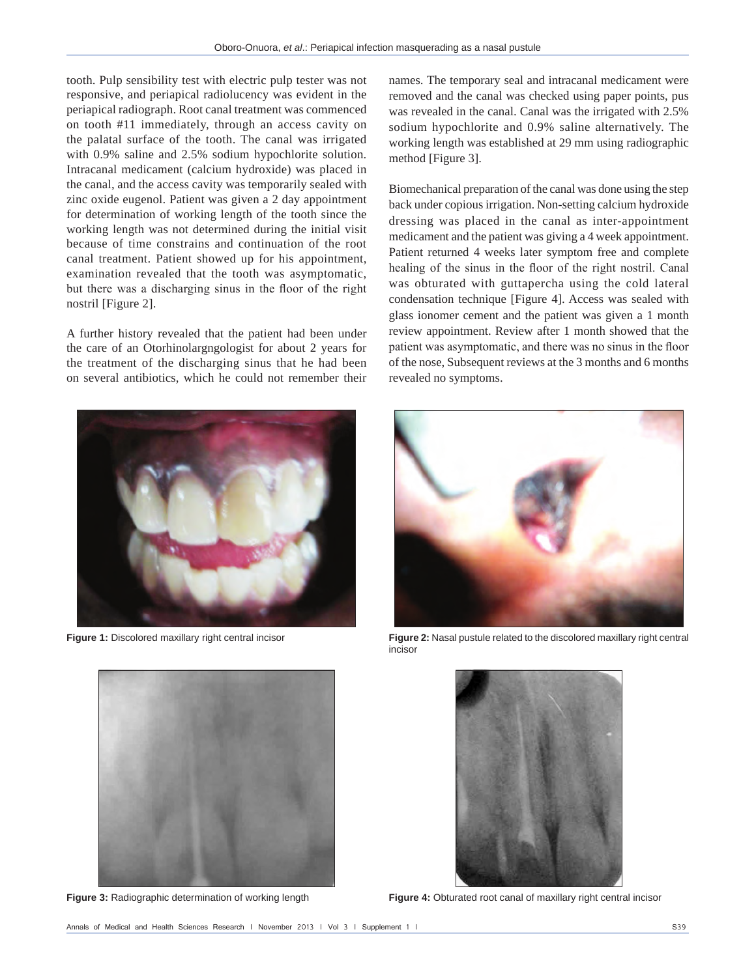tooth. Pulp sensibility test with electric pulp tester was not responsive, and periapical radiolucency was evident in the periapical radiograph. Root canal treatment was commenced on tooth #11 immediately, through an access cavity on the palatal surface of the tooth. The canal was irrigated with 0.9% saline and 2.5% sodium hypochlorite solution. Intracanal medicament (calcium hydroxide) was placed in the canal, and the access cavity was temporarily sealed with zinc oxide eugenol. Patient was given a 2 day appointment for determination of working length of the tooth since the working length was not determined during the initial visit because of time constrains and continuation of the root canal treatment. Patient showed up for his appointment, examination revealed that the tooth was asymptomatic, but there was a discharging sinus in the floor of the right nostril [Figure 2].

A further history revealed that the patient had been under the care of an Otorhinolargngologist for about 2 years for the treatment of the discharging sinus that he had been on several antibiotics, which he could not remember their



names. The temporary seal and intracanal medicament were removed and the canal was checked using paper points, pus was revealed in the canal. Canal was the irrigated with 2.5% sodium hypochlorite and 0.9% saline alternatively. The working length was established at 29 mm using radiographic method [Figure 3].

Biomechanical preparation of the canal was done using the step back under copious irrigation. Non‑setting calcium hydroxide dressing was placed in the canal as inter‑appointment medicament and the patient was giving a 4 week appointment. Patient returned 4 weeks later symptom free and complete healing of the sinus in the floor of the right nostril. Canal was obturated with guttapercha using the cold lateral condensation technique [Figure 4]. Access was sealed with glass ionomer cement and the patient was given a 1 month review appointment. Review after 1 month showed that the patient was asymptomatic, and there was no sinus in the floor of the nose, Subsequent reviews at the 3 months and 6 months revealed no symptoms.



**Figure 1:** Discolored maxillary right central incisor **Figure 2:** Nasal pustule related to the discolored maxillary right central incisor





**Figure 3:** Radiographic determination of working length **Figure 4:** Obturated root canal of maxillary right central incisor